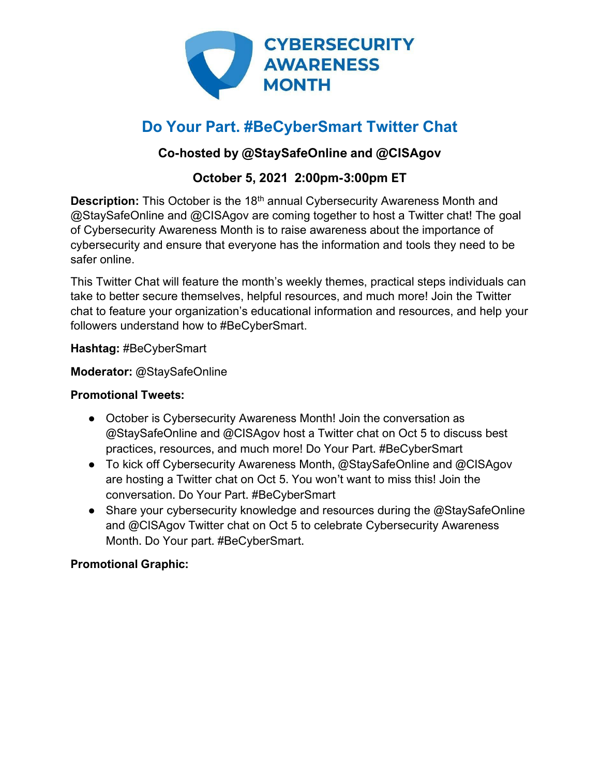

# **Do Your Part. #BeCyberSmart Twitter Chat**

## **Co-hosted by @StaySafeOnline and @CISAgov**

## **October 5, 2021 2:00pm-3:00pm ET**

**Description:** This October is the 18<sup>th</sup> annual Cybersecurity Awareness Month and @StaySafeOnline and @CISAgov are coming together to host a Twitter chat! The goal of Cybersecurity Awareness Month is to raise awareness about the importance of cybersecurity and ensure that everyone has the information and tools they need to be safer online.

This Twitter Chat will feature the month's weekly themes, practical steps individuals can take to better secure themselves, helpful resources, and much more! Join the Twitter chat to feature your organization's educational information and resources, and help your followers understand how to #BeCyberSmart.

**Hashtag:** #BeCyberSmart

**Moderator:** @StaySafeOnline

#### **Promotional Tweets:**

- October is Cybersecurity Awareness Month! Join the conversation as @StaySafeOnline and @CISAgov host a Twitter chat on Oct 5 to discuss best practices, resources, and much more! Do Your Part. #BeCyberSmart
- To kick off Cybersecurity Awareness Month, @StaySafeOnline and @CISAgov are hosting a Twitter chat on Oct 5. You won't want to miss this! Join the conversation. Do Your Part. #BeCyberSmart
- Share your cybersecurity knowledge and resources during the @StaySafeOnline and @CISAgov Twitter chat on Oct 5 to celebrate Cybersecurity Awareness Month. Do Your part. #BeCyberSmart.

### **Promotional Graphic:**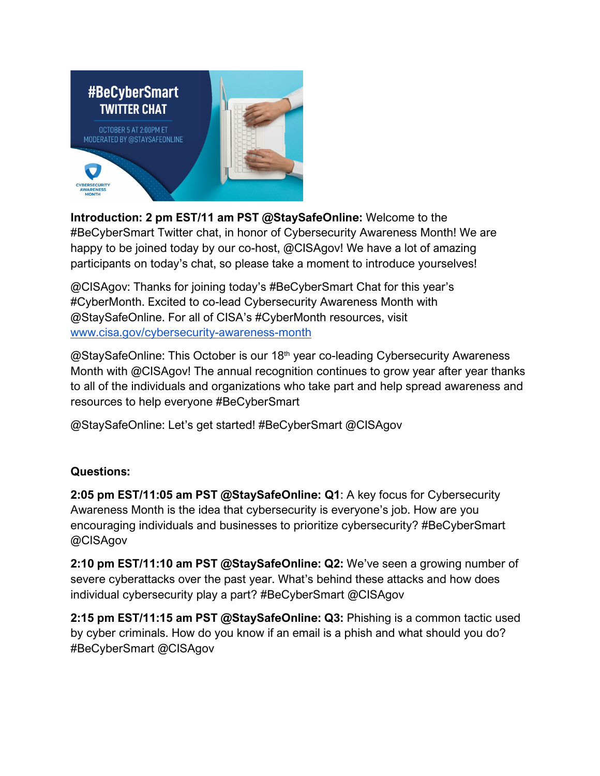

**Introduction: 2 pm EST/11 am PST @StaySafeOnline:** Welcome to the #BeCyberSmart Twitter chat, in honor of Cybersecurity Awareness Month! We are happy to be joined today by our co-host, @CISAgov! We have a lot of amazing participants on today's chat, so please take a moment to introduce yourselves!

@CISAgov: Thanks for joining today's #BeCyberSmart Chat for this year's #CyberMonth. Excited to co-lead Cybersecurity Awareness Month with @StaySafeOnline. For all of CISA's #CyberMonth resources, visit [www.cisa.gov/cybersecurity-awareness-month](http://www.cisa.gov/cybersecurity-awareness-month)

@StaySafeOnline: This October is our 18<sup>th</sup> year co-leading Cybersecurity Awareness Month with @CISAgov! The annual recognition continues to grow year after year thanks to all of the individuals and organizations who take part and help spread awareness and resources to help everyone #BeCyberSmart

@StaySafeOnline: Let's get started! #BeCyberSmart @CISAgov

#### **Questions:**

**2:05 pm EST/11:05 am PST @StaySafeOnline: Q1**: A key focus for Cybersecurity Awareness Month is the idea that cybersecurity is everyone's job. How are you encouraging individuals and businesses to prioritize cybersecurity? #BeCyberSmart @CISAgov

**2:10 pm EST/11:10 am PST @StaySafeOnline: Q2:** We've seen a growing number of severe cyberattacks over the past year. What's behind these attacks and how does individual cybersecurity play a part? #BeCyberSmart @CISAgov

**2:15 pm EST/11:15 am PST @StaySafeOnline: Q3:** Phishing is a common tactic used by cyber criminals. How do you know if an email is a phish and what should you do? #BeCyberSmart @CISAgov